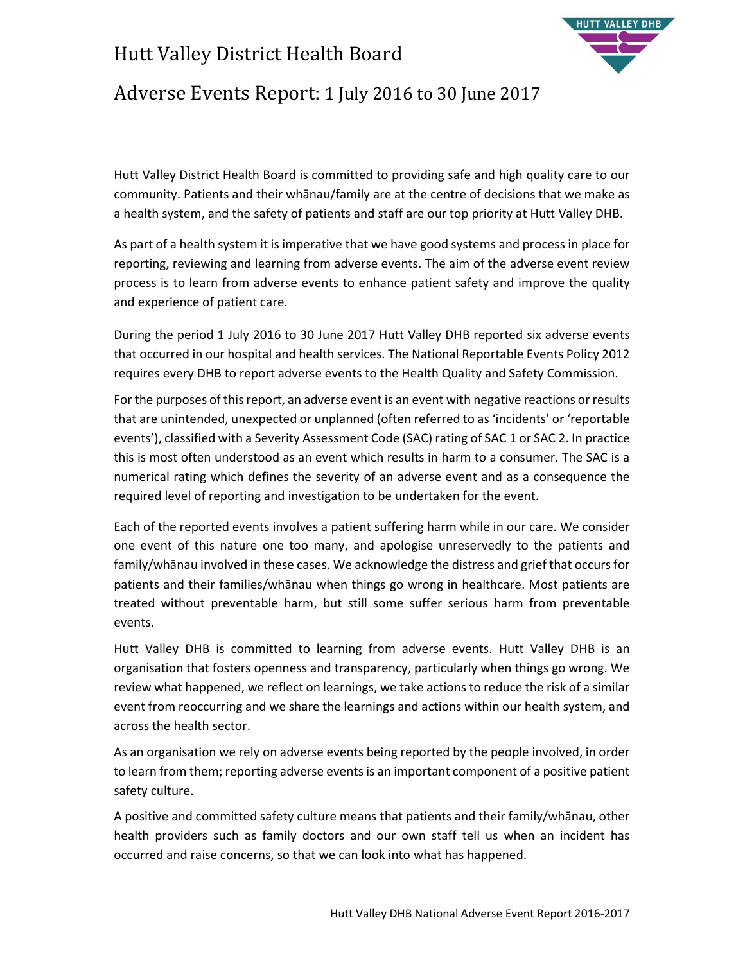## Hutt Valley District Health Board



### Adverse Events Report: 1 July 2016 to 30 June 2017

Hutt Valley District Health Board is committed to providing safe and high quality care to our community. Patients and their whānau/family are at the centre of decisions that we make as a health system, and the safety of patients and staff are our top priority at Hutt Valley DHB.

As part of a health system it is imperative that we have good systems and process in place for reporting, reviewing and learning from adverse events. The aim of the adverse event review process is to learn from adverse events to enhance patient safety and improve the quality and experience of patient care.

During the period 1 July 2016 to 30 June 2017 Hutt Valley DHB reported six adverse events that occurred in our hospital and health services. The National Reportable Events Policy 2012 requires every DHB to report adverse events to the Health Quality and Safety Commission.

For the purposes of this report, an adverse event is an event with negative reactions or results that are unintended, unexpected or unplanned (often referred to as 'incidents' or 'reportable events'), classified with a Severity Assessment Code (SAC) rating of SAC 1 or SAC 2. In practice this is most often understood as an event which results in harm to a consumer. The SAC is a numerical rating which defines the severity of an adverse event and as a consequence the required level of reporting and investigation to be undertaken for the event.

Each of the reported events involves a patient suffering harm while in our care. We consider one event of this nature one too many, and apologise unreservedly to the patients and family/whānau involved in these cases. We acknowledge the distress and grief that occurs for patients and their families/whānau when things go wrong in healthcare. Most patients are treated without preventable harm, but still some suffer serious harm from preventable events.

Hutt Valley DHB is committed to learning from adverse events. Hutt Valley DHB is an organisation that fosters openness and transparency, particularly when things go wrong. We review what happened, we reflect on learnings, we take actions to reduce the risk of a similar event from reoccurring and we share the learnings and actions within our health system, and across the health sector.

As an organisation we rely on adverse events being reported by the people involved, in order to learn from them; reporting adverse events is an important component of a positive patient safety culture.

A positive and committed safety culture means that patients and their family/whānau, other health providers such as family doctors and our own staff tell us when an incident has occurred and raise concerns, so that we can look into what has happened.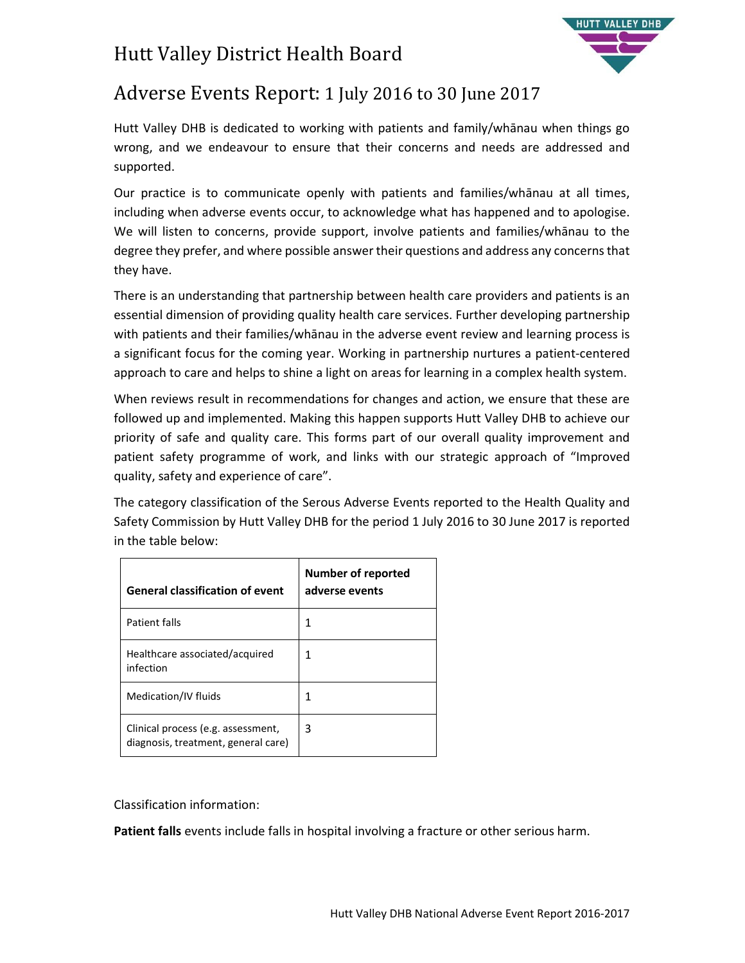# Hutt Valley District Health Board



## Adverse Events Report: 1 July 2016 to 30 June 2017

Hutt Valley DHB is dedicated to working with patients and family/whānau when things go wrong, and we endeavour to ensure that their concerns and needs are addressed and supported.

Our practice is to communicate openly with patients and families/whānau at all times, including when adverse events occur, to acknowledge what has happened and to apologise. We will listen to concerns, provide support, involve patients and families/whānau to the degree they prefer, and where possible answer their questions and address any concerns that they have.

There is an understanding that partnership between health care providers and patients is an essential dimension of providing quality health care services. Further developing partnership with patients and their families/whānau in the adverse event review and learning process is a significant focus for the coming year. Working in partnership nurtures a patient-centered approach to care and helps to shine a light on areas for learning in a complex health system.

When reviews result in recommendations for changes and action, we ensure that these are followed up and implemented. Making this happen supports Hutt Valley DHB to achieve our priority of safe and quality care. This forms part of our overall quality improvement and patient safety programme of work, and links with our strategic approach of "Improved quality, safety and experience of care".

The category classification of the Serous Adverse Events reported to the Health Quality and Safety Commission by Hutt Valley DHB for the period 1 July 2016 to 30 June 2017 is reported in the table below:

| <b>General classification of event</b>                                    | Number of reported<br>adverse events |
|---------------------------------------------------------------------------|--------------------------------------|
| Patient falls                                                             |                                      |
| Healthcare associated/acquired<br>infection                               |                                      |
| Medication/IV fluids                                                      |                                      |
| Clinical process (e.g. assessment,<br>diagnosis, treatment, general care) | 3                                    |

Classification information:

**Patient falls** events include falls in hospital involving a fracture or other serious harm.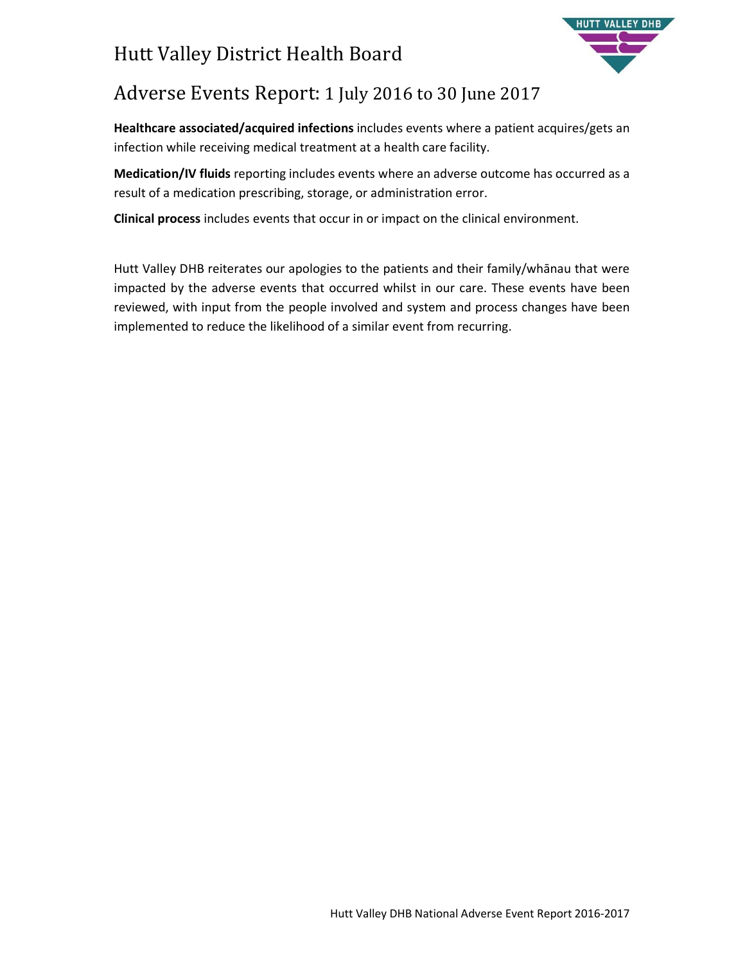# Hutt Valley District Health Board



## Adverse Events Report: 1 July 2016 to 30 June 2017

**Healthcare associated/acquired infections** includes events where a patient acquires/gets an infection while receiving medical treatment at a health care facility.

**Medication/IV fluids** reporting includes events where an adverse outcome has occurred as a result of a medication prescribing, storage, or administration error.

**Clinical process** includes events that occur in or impact on the clinical environment.

Hutt Valley DHB reiterates our apologies to the patients and their family/whānau that were impacted by the adverse events that occurred whilst in our care. These events have been reviewed, with input from the people involved and system and process changes have been implemented to reduce the likelihood of a similar event from recurring.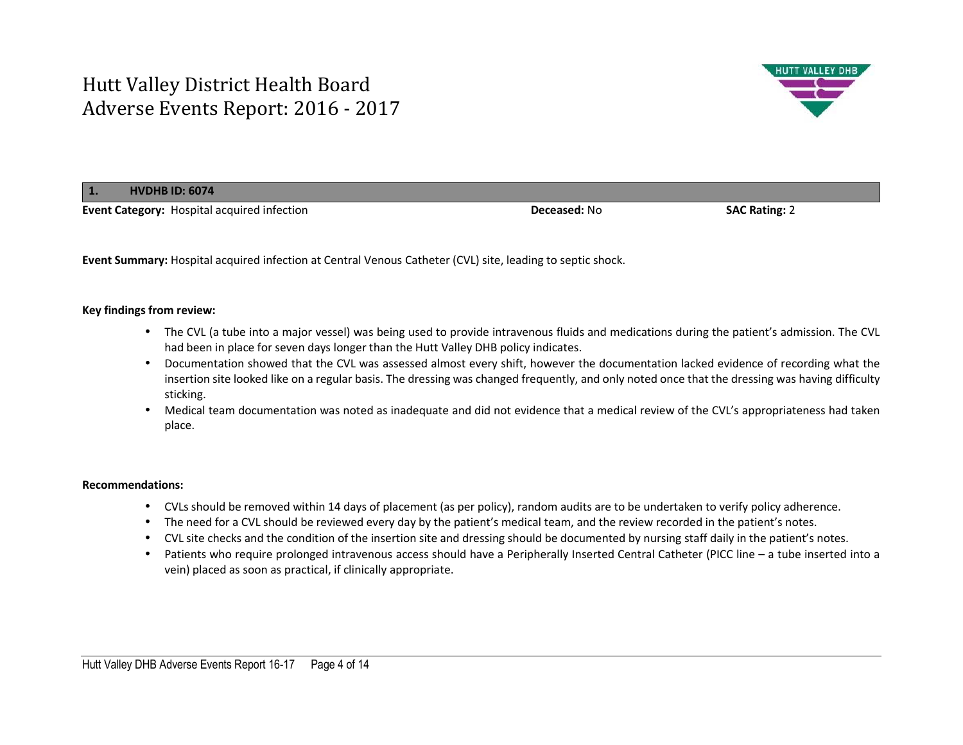

**1.HVDHB ID: 6074**

**Event Category:** Hospital acquired infection **Deceased:** No **SAC Rating:** 2

**Event Summary:** Hospital acquired infection at Central Venous Catheter (CVL) site, leading to septic shock.

### **Key findings from review:**

- The CVL (a tube into a major vessel) was being used to provide intravenous fluids and medications during the patient's admission. The CVL had been in place for seven days longer than the Hutt Valley DHB policy indicates.
- Documentation showed that the CVL was assessed almost every shift, however the documentation lacked evidence of recording what the insertion site looked like on a regular basis. The dressing was changed frequently, and only noted once that the dressing was having difficulty sticking.
- Medical team documentation was noted as inadequate and did not evidence that a medical review of the CVL's appropriateness had taken place.

- CVLs should be removed within 14 days of placement (as per policy), random audits are to be undertaken to verify policy adherence.
- The need for a CVL should be reviewed every day by the patient's medical team, and the review recorded in the patient's notes.
- CVL site checks and the condition of the insertion site and dressing should be documented by nursing staff daily in the patient's notes.
- Patients who require prolonged intravenous access should have a Peripherally Inserted Central Catheter (PICC line a tube inserted into a vein) placed as soon as practical, if clinically appropriate.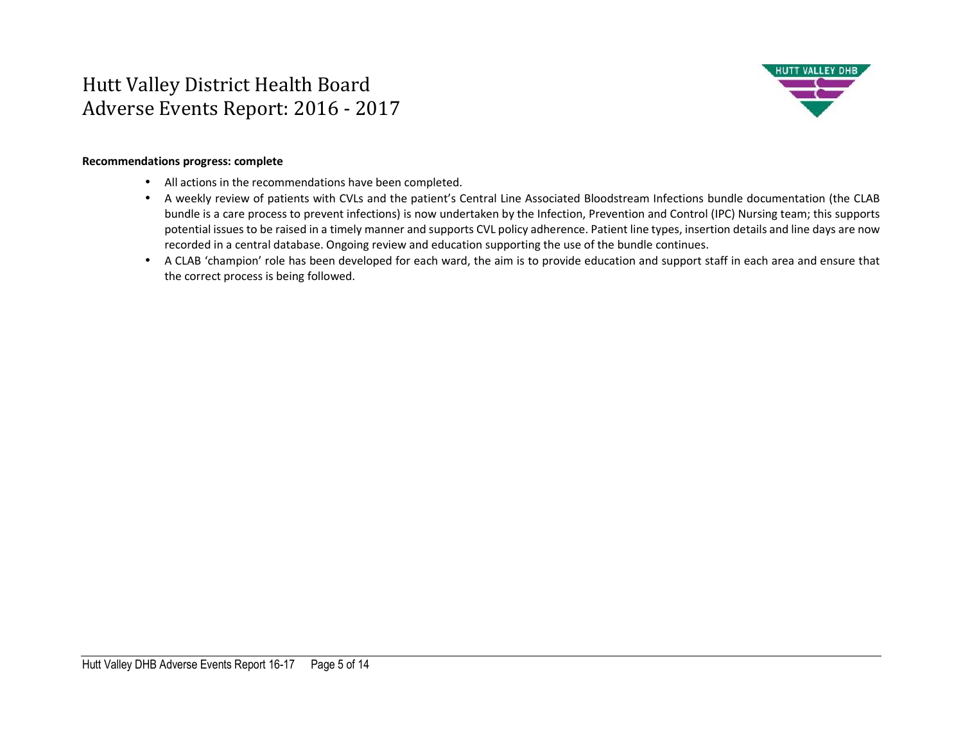

### **Recommendations progress: complete**

- All actions in the recommendations have been completed.
- A weekly review of patients with CVLs and the patient's Central Line Associated Bloodstream Infections bundle documentation (the CLAB bundle is a care process to prevent infections) is now undertaken by the Infection, Prevention and Control (IPC) Nursing team; this supports potential issues to be raised in a timely manner and supports CVL policy adherence. Patient line types, insertion details and line days are now recorded in a central database. Ongoing review and education supporting the use of the bundle continues.
- A CLAB 'champion' role has been developed for each ward, the aim is to provide education and support staff in each area and ensure that the correct process is being followed.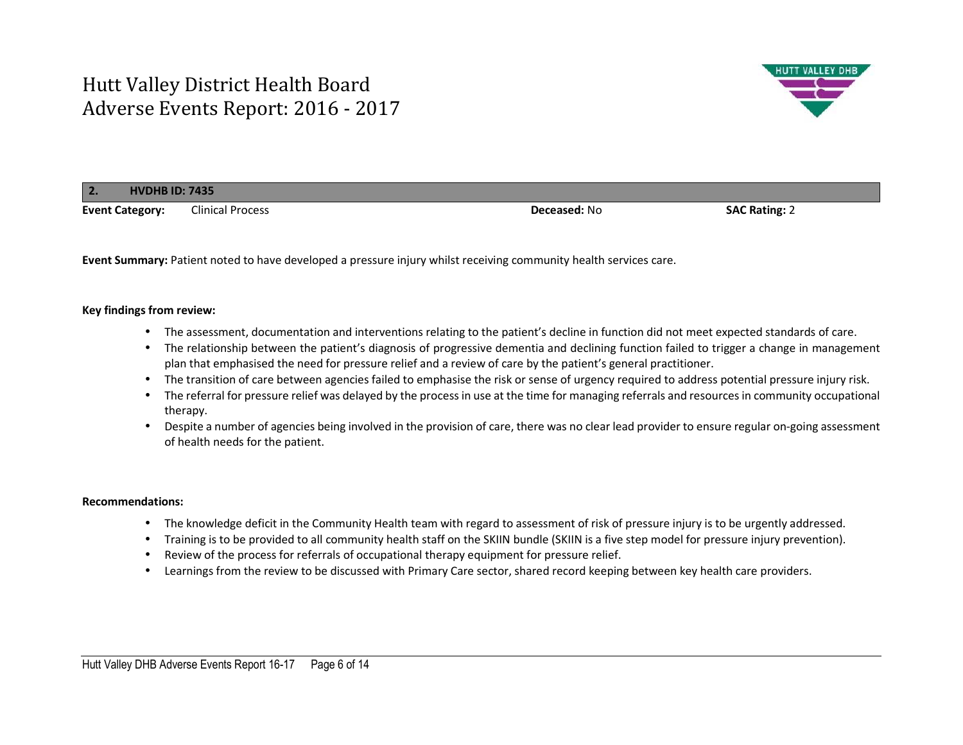

| $\overline{2}$ .<br><b>HVDHB ID: 7435</b> |                         |                     |                      |  |
|-------------------------------------------|-------------------------|---------------------|----------------------|--|
| <b>Event Category:</b>                    | <b>Clinical Process</b> | <b>Deceased: No</b> | <b>SAC Rating: 2</b> |  |

**Event Summary:** Patient noted to have developed a pressure injury whilst receiving community health services care.

#### **Key findings from review:**

- The assessment, documentation and interventions relating to the patient's decline in function did not meet expected standards of care.
- The relationship between the patient's diagnosis of progressive dementia and declining function failed to trigger a change in management plan that emphasised the need for pressure relief and a review of care by the patient's general practitioner.
- The transition of care between agencies failed to emphasise the risk or sense of urgency required to address potential pressure injury risk.
- The referral for pressure relief was delayed by the process in use at the time for managing referrals and resources in community occupational therapy.
- Despite a number of agencies being involved in the provision of care, there was no clear lead provider to ensure regular on-going assessment of health needs for the patient.

- The knowledge deficit in the Community Health team with regard to assessment of risk of pressure injury is to be urgently addressed.
- Training is to be provided to all community health staff on the SKIIN bundle (SKIIN is a five step model for pressure injury prevention).
- Review of the process for referrals of occupational therapy equipment for pressure relief.
- Learnings from the review to be discussed with Primary Care sector, shared record keeping between key health care providers.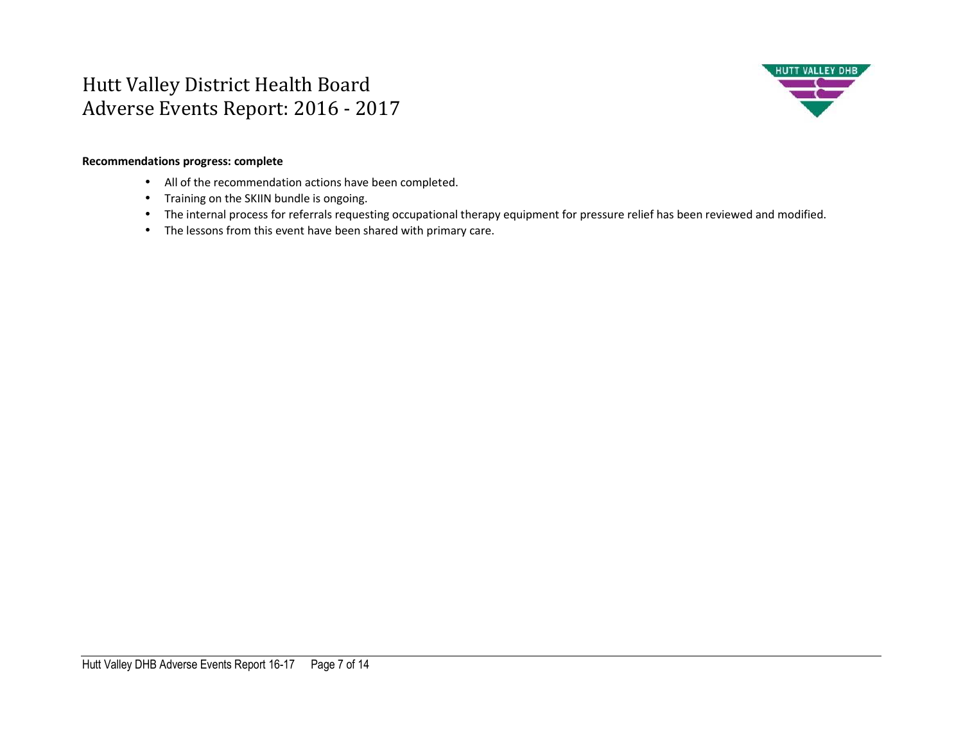

### **Recommendations progress: complete**

- All of the recommendation actions have been completed.
- Training on the SKIIN bundle is ongoing.
- The internal process for referrals requesting occupational therapy equipment for pressure relief has been reviewed and modified.
- The lessons from this event have been shared with primary care.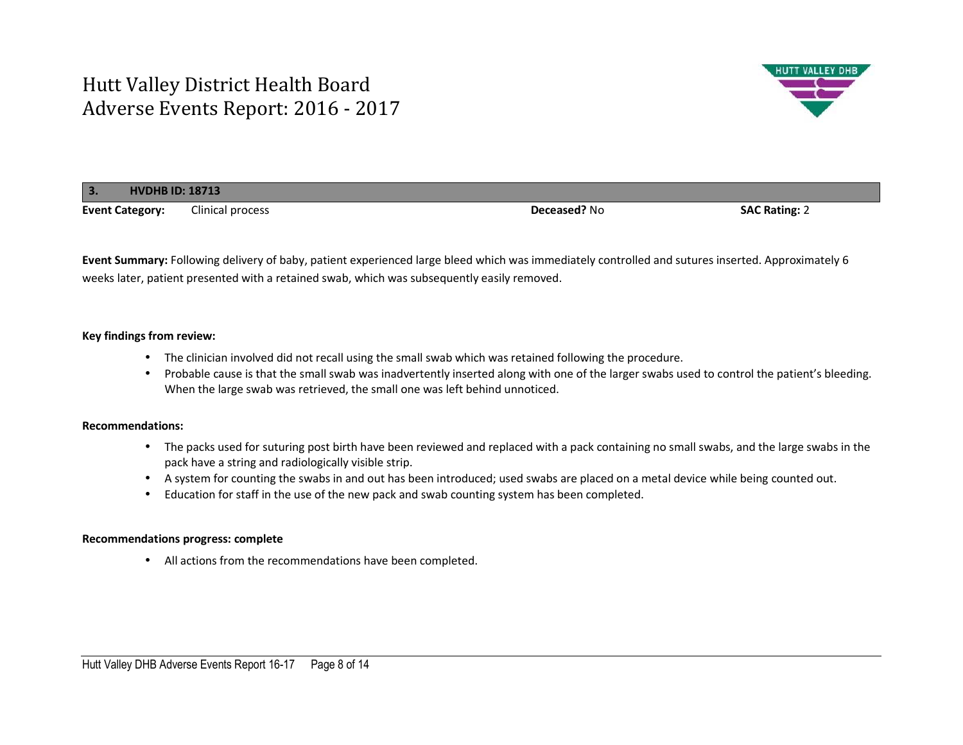

| <b>HVDHB ID: 18713</b><br>$\blacksquare$ |                  |              |                      |  |
|------------------------------------------|------------------|--------------|----------------------|--|
| <b>Event Category:</b>                   | Clinical process | Deceased? No | <b>SAC Rating: 2</b> |  |

**Event Summary:** Following delivery of baby, patient experienced large bleed which was immediately controlled and sutures inserted. Approximately 6 weeks later, patient presented with a retained swab, which was subsequently easily removed.

### **Key findings from review:**

- The clinician involved did not recall using the small swab which was retained following the procedure.
- Probable cause is that the small swab was inadvertently inserted along with one of the larger swabs used to control the patient's bleeding. When the large swab was retrieved, the small one was left behind unnoticed.

### **Recommendations:**

- The packs used for suturing post birth have been reviewed and replaced with a pack containing no small swabs, and the large swabs in the pack have a string and radiologically visible strip.
- A system for counting the swabs in and out has been introduced; used swabs are placed on a metal device while being counted out.
- Education for staff in the use of the new pack and swab counting system has been completed.

### **Recommendations progress: complete**

• All actions from the recommendations have been completed.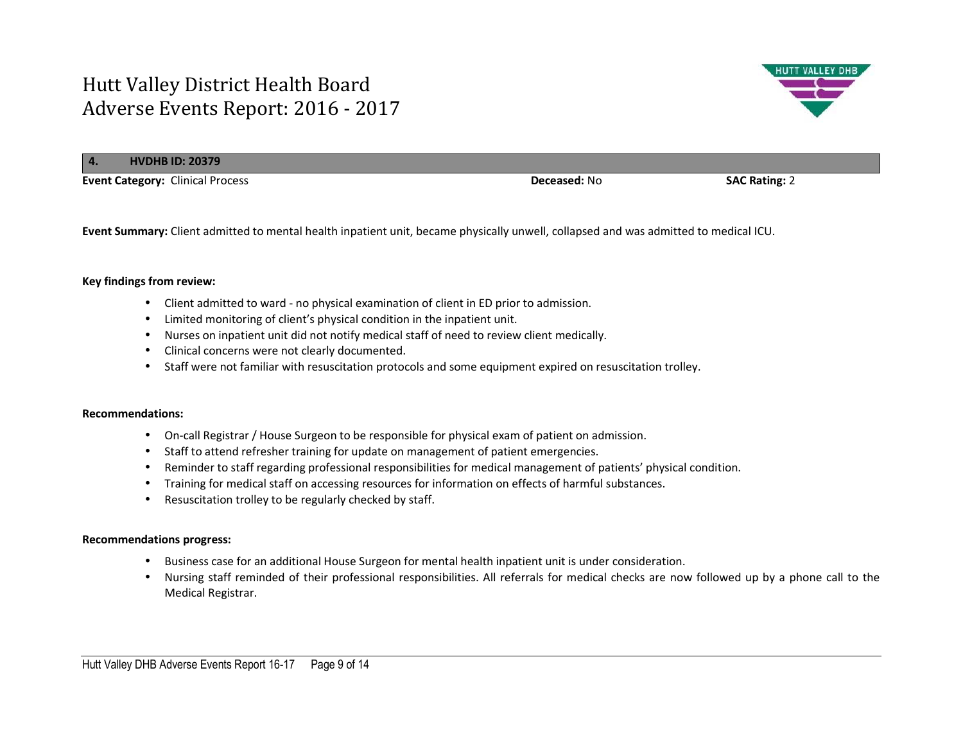

**Event Summary:** Client admitted to mental health inpatient unit, became physically unwell, collapsed and was admitted to medical ICU.

#### **Key findings from review:**

- Client admitted to ward no physical examination of client in ED prior to admission.
- Limited monitoring of client's physical condition in the inpatient unit.
- Nurses on inpatient unit did not notify medical staff of need to review client medically.
- Clinical concerns were not clearly documented.
- Staff were not familiar with resuscitation protocols and some equipment expired on resuscitation trolley.

#### **Recommendations:**

- On-call Registrar / House Surgeon to be responsible for physical exam of patient on admission.
- Staff to attend refresher training for update on management of patient emergencies.
- Reminder to staff regarding professional responsibilities for medical management of patients' physical condition.
- Training for medical staff on accessing resources for information on effects of harmful substances.
- Resuscitation trolley to be regularly checked by staff.

#### **Recommendations progress:**

- Business case for an additional House Surgeon for mental health inpatient unit is under consideration.
- Nursing staff reminded of their professional responsibilities. All referrals for medical checks are now followed up by a phone call to the Medical Registrar.

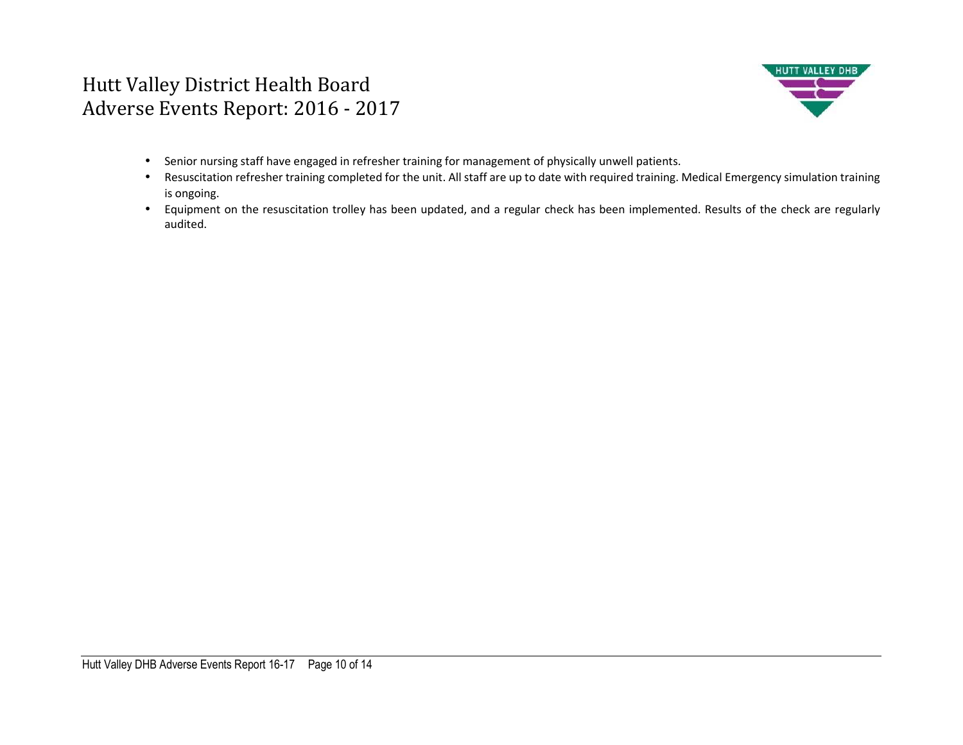

- Senior nursing staff have engaged in refresher training for management of physically unwell patients.
- Resuscitation refresher training completed for the unit. All staff are up to date with required training. Medical Emergency simulation training is ongoing.
- Equipment on the resuscitation trolley has been updated, and a regular check has been implemented. Results of the check are regularly audited.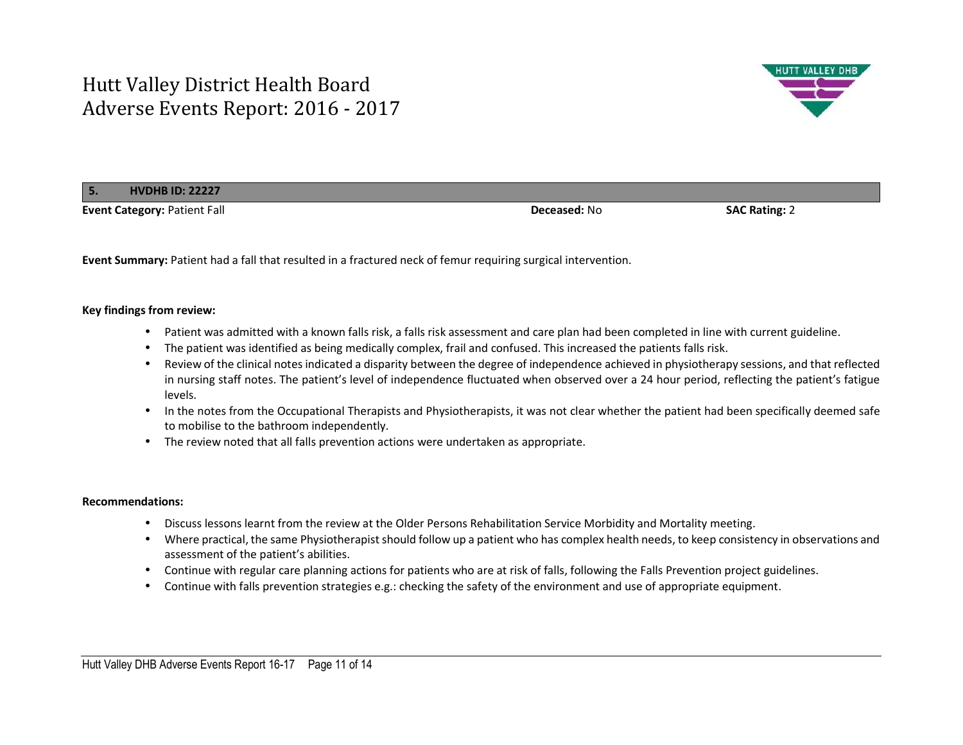

**5.HVDHB ID: 22227**

**Event Category:** Patient Fall **Deceased:** No **SAC Rating:** 2

**Event Summary:** Patient had a fall that resulted in a fractured neck of femur requiring surgical intervention.

### **Key findings from review:**

- Patient was admitted with a known falls risk, a falls risk assessment and care plan had been completed in line with current guideline.
- The patient was identified as being medically complex, frail and confused. This increased the patients falls risk.
- Review of the clinical notes indicated a disparity between the degree of independence achieved in physiotherapy sessions, and that reflected in nursing staff notes. The patient's level of independence fluctuated when observed over a 24 hour period, reflecting the patient's fatigue levels.
- In the notes from the Occupational Therapists and Physiotherapists, it was not clear whether the patient had been specifically deemed safe to mobilise to the bathroom independently.
- The review noted that all falls prevention actions were undertaken as appropriate.

- Discuss lessons learnt from the review at the Older Persons Rehabilitation Service Morbidity and Mortality meeting.
- Where practical, the same Physiotherapist should follow up a patient who has complex health needs, to keep consistency in observations and assessment of the patient's abilities.
- Continue with regular care planning actions for patients who are at risk of falls, following the Falls Prevention project guidelines.
- Continue with falls prevention strategies e.g.: checking the safety of the environment and use of appropriate equipment.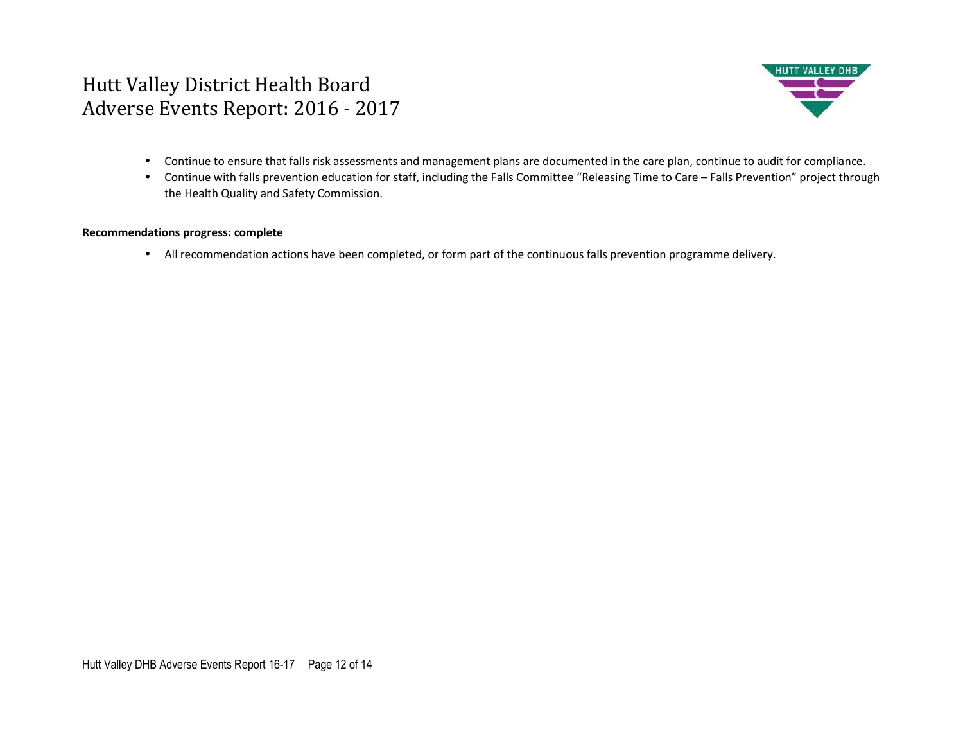

- Continue to ensure that falls risk assessments and management plans are documented in the care plan, continue to audit for compliance.
- Continue with falls prevention education for staff, including the Falls Committee "Releasing Time to Care Falls Prevention" project through the Health Quality and Safety Commission.

### **Recommendations progress: complete**

• All recommendation actions have been completed, or form part of the continuous falls prevention programme delivery.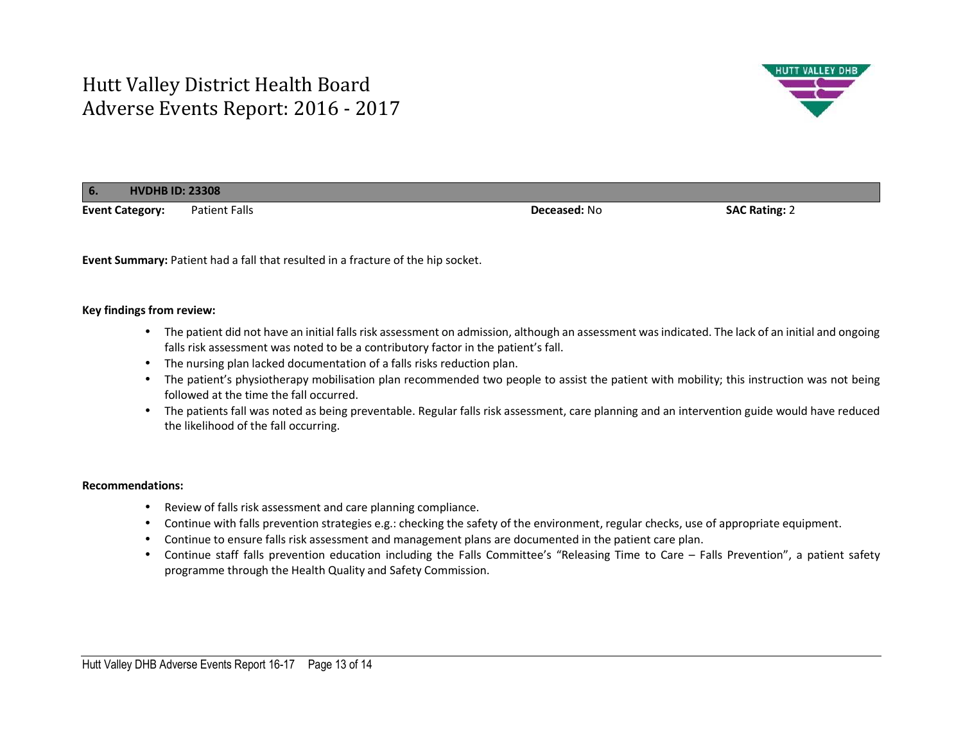

| 6.<br><b>HVDHB ID: 23308</b> |               |                     |                      |
|------------------------------|---------------|---------------------|----------------------|
| <b>Event Category:</b>       | Patient Falls | <b>Deceased: No</b> | <b>SAC Rating: 2</b> |

**Event Summary:** Patient had a fall that resulted in a fracture of the hip socket.

### **Key findings from review:**

- The patient did not have an initial falls risk assessment on admission, although an assessment was indicated. The lack of an initial and ongoing falls risk assessment was noted to be a contributory factor in the patient's fall.
- The nursing plan lacked documentation of a falls risks reduction plan.
- The patient's physiotherapy mobilisation plan recommended two people to assist the patient with mobility; this instruction was not being followed at the time the fall occurred.
- The patients fall was noted as being preventable. Regular falls risk assessment, care planning and an intervention guide would have reduced the likelihood of the fall occurring.

- Review of falls risk assessment and care planning compliance.
- Continue with falls prevention strategies e.g.: checking the safety of the environment, regular checks, use of appropriate equipment.
- Continue to ensure falls risk assessment and management plans are documented in the patient care plan.
- Continue staff falls prevention education including the Falls Committee's "Releasing Time to Care Falls Prevention", a patient safety programme through the Health Quality and Safety Commission.